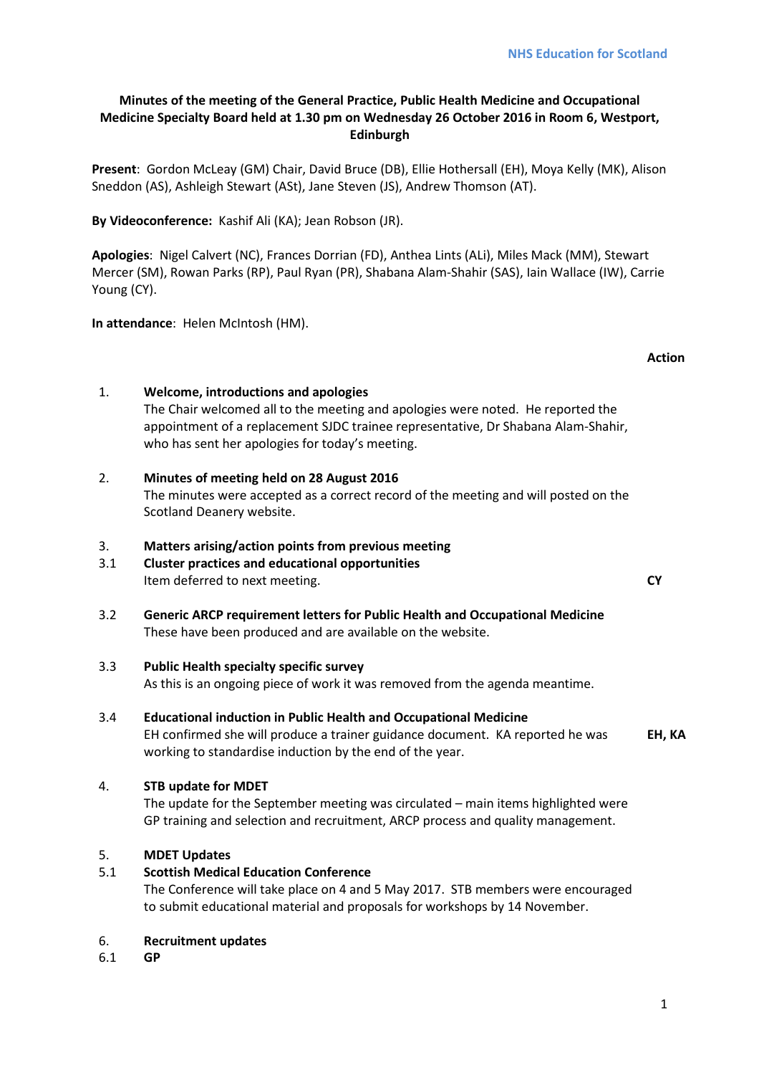# **Minutes of the meeting of the General Practice, Public Health Medicine and Occupational Medicine Specialty Board held at 1.30 pm on Wednesday 26 October 2016 in Room 6, Westport, Edinburgh**

**Present**: Gordon McLeay (GM) Chair, David Bruce (DB), Ellie Hothersall (EH), Moya Kelly (MK), Alison Sneddon (AS), Ashleigh Stewart (ASt), Jane Steven (JS), Andrew Thomson (AT).

**By Videoconference:** Kashif Ali (KA); Jean Robson (JR).

**Apologies**: Nigel Calvert (NC), Frances Dorrian (FD), Anthea Lints (ALi), Miles Mack (MM), Stewart Mercer (SM), Rowan Parks (RP), Paul Ryan (PR), Shabana Alam-Shahir (SAS), Iain Wallace (IW), Carrie Young (CY).

**In attendance**: Helen McIntosh (HM).

# **Action**

# 1. **Welcome, introductions and apologies**

The Chair welcomed all to the meeting and apologies were noted. He reported the appointment of a replacement SJDC trainee representative, Dr Shabana Alam-Shahir, who has sent her apologies for today's meeting.

2. **Minutes of meeting held on 28 August 2016** The minutes were accepted as a correct record of the meeting and will posted on the Scotland Deanery website.

# 3. **Matters arising/action points from previous meeting**

- 3.1 **Cluster practices and educational opportunities** Item deferred to next meeting. **CY**
- 3.2 **Generic ARCP requirement letters for Public Health and Occupational Medicine** These have been produced and are available on the website.

# 3.3 **Public Health specialty specific survey**

As this is an ongoing piece of work it was removed from the agenda meantime.

# 3.4 **Educational induction in Public Health and Occupational Medicine**

EH confirmed she will produce a trainer guidance document. KA reported he was working to standardise induction by the end of the year. **EH, KA**

# 4. **STB update for MDET**

The update for the September meeting was circulated – main items highlighted were GP training and selection and recruitment, ARCP process and quality management.

# 5. **MDET Updates**

# 5.1 **Scottish Medical Education Conference**

The Conference will take place on 4 and 5 May 2017. STB members were encouraged to submit educational material and proposals for workshops by 14 November.

# 6. **Recruitment updates**

6.1 **GP**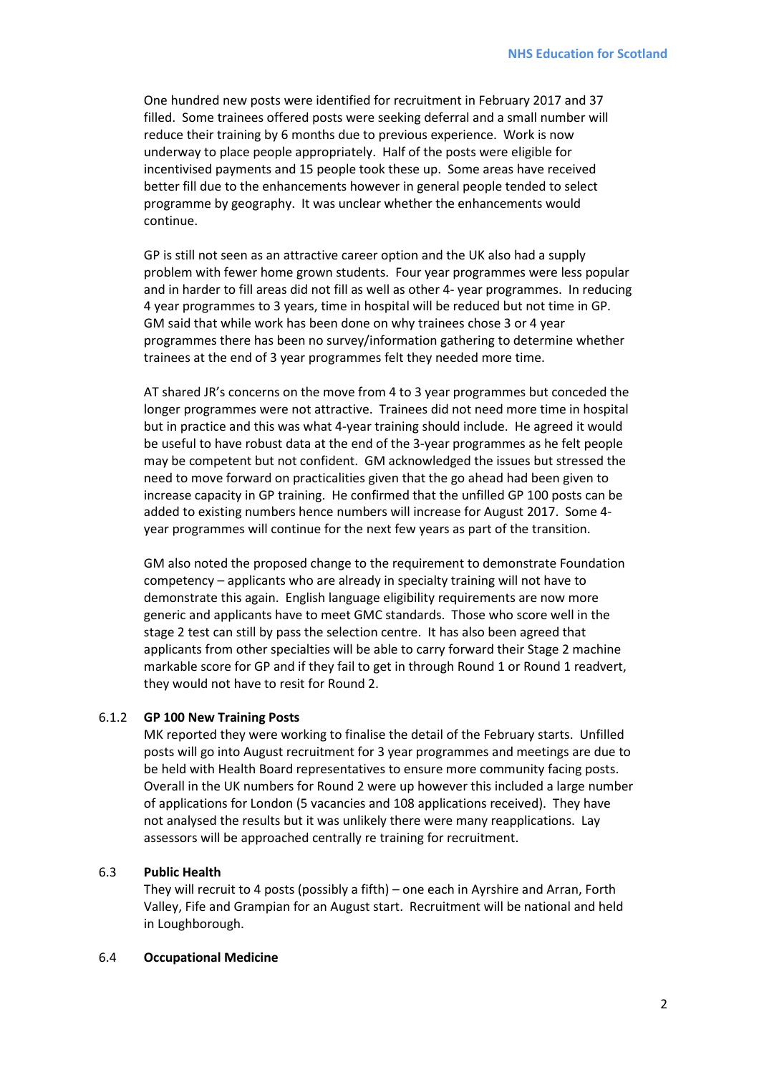One hundred new posts were identified for recruitment in February 2017 and 37 filled. Some trainees offered posts were seeking deferral and a small number will reduce their training by 6 months due to previous experience. Work is now underway to place people appropriately. Half of the posts were eligible for incentivised payments and 15 people took these up. Some areas have received better fill due to the enhancements however in general people tended to select programme by geography. It was unclear whether the enhancements would continue.

GP is still not seen as an attractive career option and the UK also had a supply problem with fewer home grown students. Four year programmes were less popular and in harder to fill areas did not fill as well as other 4- year programmes. In reducing 4 year programmes to 3 years, time in hospital will be reduced but not time in GP. GM said that while work has been done on why trainees chose 3 or 4 year programmes there has been no survey/information gathering to determine whether trainees at the end of 3 year programmes felt they needed more time.

AT shared JR's concerns on the move from 4 to 3 year programmes but conceded the longer programmes were not attractive. Trainees did not need more time in hospital but in practice and this was what 4-year training should include. He agreed it would be useful to have robust data at the end of the 3-year programmes as he felt people may be competent but not confident. GM acknowledged the issues but stressed the need to move forward on practicalities given that the go ahead had been given to increase capacity in GP training. He confirmed that the unfilled GP 100 posts can be added to existing numbers hence numbers will increase for August 2017. Some 4 year programmes will continue for the next few years as part of the transition.

GM also noted the proposed change to the requirement to demonstrate Foundation competency – applicants who are already in specialty training will not have to demonstrate this again. English language eligibility requirements are now more generic and applicants have to meet GMC standards. Those who score well in the stage 2 test can still by pass the selection centre. It has also been agreed that applicants from other specialties will be able to carry forward their Stage 2 machine markable score for GP and if they fail to get in through Round 1 or Round 1 readvert, they would not have to resit for Round 2.

### 6.1.2 **GP 100 New Training Posts**

MK reported they were working to finalise the detail of the February starts. Unfilled posts will go into August recruitment for 3 year programmes and meetings are due to be held with Health Board representatives to ensure more community facing posts. Overall in the UK numbers for Round 2 were up however this included a large number of applications for London (5 vacancies and 108 applications received). They have not analysed the results but it was unlikely there were many reapplications. Lay assessors will be approached centrally re training for recruitment.

### 6.3 **Public Health**

They will recruit to 4 posts (possibly a fifth) – one each in Ayrshire and Arran, Forth Valley, Fife and Grampian for an August start. Recruitment will be national and held in Loughborough.

### 6.4 **Occupational Medicine**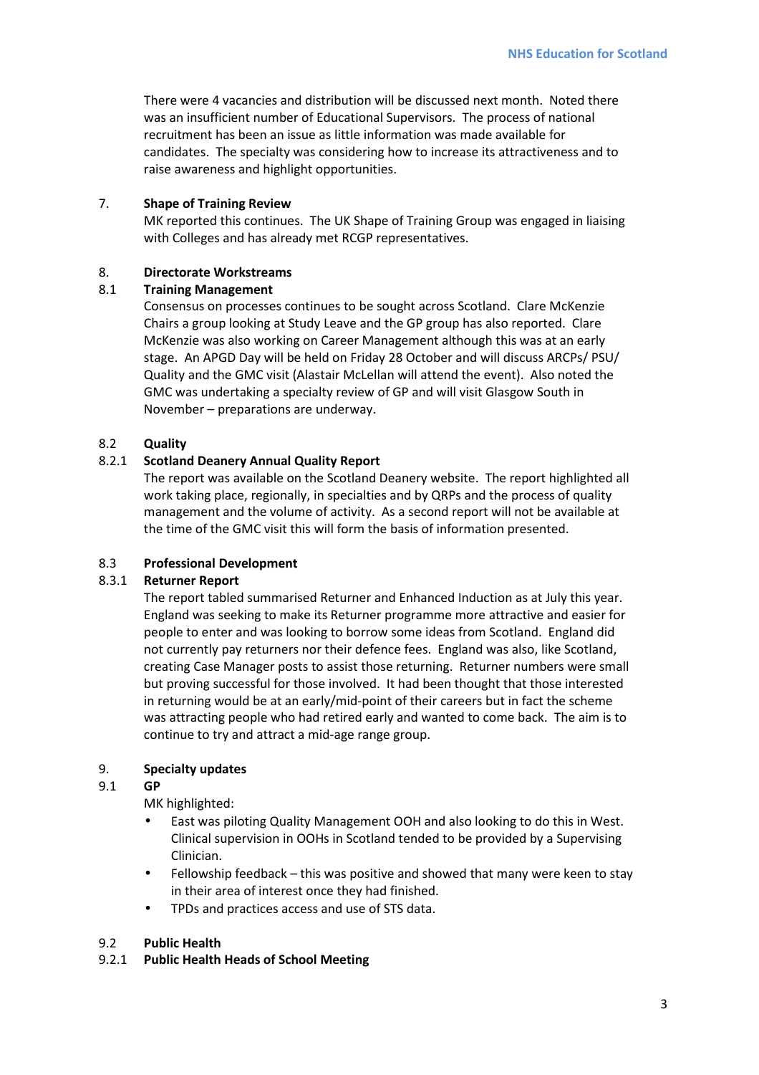There were 4 vacancies and distribution will be discussed next month. Noted there was an insufficient number of Educational Supervisors. The process of national recruitment has been an issue as little information was made available for candidates. The specialty was considering how to increase its attractiveness and to raise awareness and highlight opportunities.

### 7. **Shape of Training Review**

MK reported this continues. The UK Shape of Training Group was engaged in liaising with Colleges and has already met RCGP representatives.

# 8. **Directorate Workstreams**

### 8.1 **Training Management**

Consensus on processes continues to be sought across Scotland. Clare McKenzie Chairs a group looking at Study Leave and the GP group has also reported. Clare McKenzie was also working on Career Management although this was at an early stage. An APGD Day will be held on Friday 28 October and will discuss ARCPs/ PSU/ Quality and the GMC visit (Alastair McLellan will attend the event). Also noted the GMC was undertaking a specialty review of GP and will visit Glasgow South in November – preparations are underway.

### 8.2 **Quality**

### 8.2.1 **Scotland Deanery Annual Quality Report**

The report was available on the Scotland Deanery website. The report highlighted all work taking place, regionally, in specialties and by QRPs and the process of quality management and the volume of activity. As a second report will not be available at the time of the GMC visit this will form the basis of information presented.

### 8.3 **Professional Development**

### 8.3.1 **Returner Report**

The report tabled summarised Returner and Enhanced Induction as at July this year. England was seeking to make its Returner programme more attractive and easier for people to enter and was looking to borrow some ideas from Scotland. England did not currently pay returners nor their defence fees. England was also, like Scotland, creating Case Manager posts to assist those returning. Returner numbers were small but proving successful for those involved. It had been thought that those interested in returning would be at an early/mid-point of their careers but in fact the scheme was attracting people who had retired early and wanted to come back. The aim is to continue to try and attract a mid-age range group.

# 9. **Specialty updates**

### 9.1 **GP**

MK highlighted:

- East was piloting Quality Management OOH and also looking to do this in West. Clinical supervision in OOHs in Scotland tended to be provided by a Supervising Clinician.
- Fellowship feedback this was positive and showed that many were keen to stay in their area of interest once they had finished.
- TPDs and practices access and use of STS data.

# 9.2 **Public Health**

### 9.2.1 **Public Health Heads of School Meeting**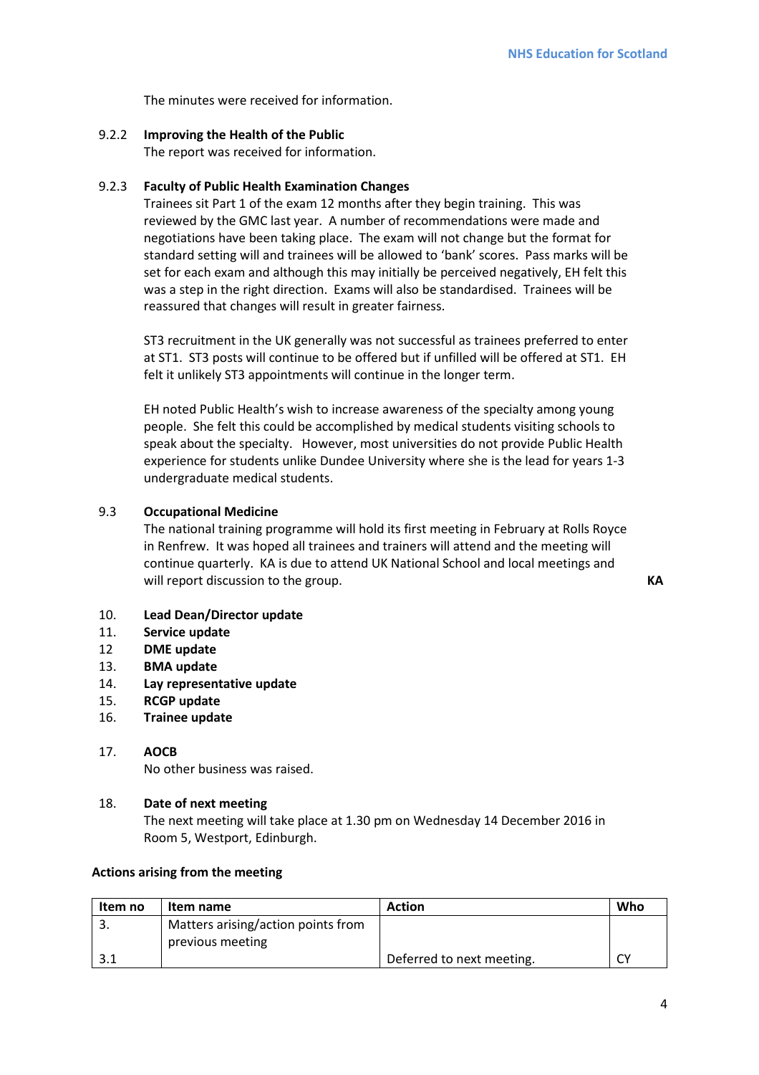The minutes were received for information.

### 9.2.2 **Improving the Health of the Public**

The report was received for information.

### 9.2.3 **Faculty of Public Health Examination Changes**

Trainees sit Part 1 of the exam 12 months after they begin training. This was reviewed by the GMC last year. A number of recommendations were made and negotiations have been taking place. The exam will not change but the format for standard setting will and trainees will be allowed to 'bank' scores. Pass marks will be set for each exam and although this may initially be perceived negatively, EH felt this was a step in the right direction. Exams will also be standardised. Trainees will be reassured that changes will result in greater fairness.

ST3 recruitment in the UK generally was not successful as trainees preferred to enter at ST1. ST3 posts will continue to be offered but if unfilled will be offered at ST1. EH felt it unlikely ST3 appointments will continue in the longer term.

EH noted Public Health's wish to increase awareness of the specialty among young people. She felt this could be accomplished by medical students visiting schools to speak about the specialty. However, most universities do not provide Public Health experience for students unlike Dundee University where she is the lead for years 1-3 undergraduate medical students.

### 9.3 **Occupational Medicine**

The national training programme will hold its first meeting in February at Rolls Royce in Renfrew. It was hoped all trainees and trainers will attend and the meeting will continue quarterly. KA is due to attend UK National School and local meetings and will report discussion to the group. **KA** 

- 10. **Lead Dean/Director update**
- 11. **Service update**
- 12 **DME update**
- 13. **BMA update**
- 14. **Lay representative update**
- 15. **RCGP update**
- 16. **Trainee update**
- 17. **AOCB** No other business was raised.

### 18. **Date of next meeting**

The next meeting will take place at 1.30 pm on Wednesday 14 December 2016 in Room 5, Westport, Edinburgh.

### **Actions arising from the meeting**

| Item no | Item name                          | <b>Action</b>             | Who |
|---------|------------------------------------|---------------------------|-----|
|         | Matters arising/action points from |                           |     |
|         | previous meeting                   |                           |     |
|         |                                    | Deferred to next meeting. | ٢v  |